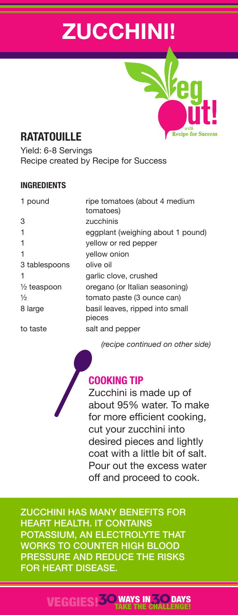# **ZUCCHINI!**

# **RATATOUILLE**

Yield: 6-8 Servings Recipe created by Recipe for Success

#### **INGREDIENTS**

| 1 pound                | ripe tomatoes (about 4 medium<br>tomatoes) |
|------------------------|--------------------------------------------|
| 3                      | zucchinis                                  |
| 1                      | eggplant (weighing about 1 pound)          |
|                        | yellow or red pepper                       |
| 1                      | yellow onion                               |
| 3 tablespoons          | olive oil                                  |
| 1                      | garlic clove, crushed                      |
| $\frac{1}{2}$ teaspoon | oregano (or Italian seasoning)             |
| $\frac{1}{2}$          | tomato paste (3 ounce can)                 |
| 8 large                | basil leaves, ripped into small<br>pieces  |
| to taste               | salt and pepper                            |
|                        |                                            |

*(recipe continued on other side)*

**Recipe for Suc** 

## **COOKING TIP**

Zucchini is made up of about 95% water. To make for more efficient cooking, cut your zucchini into desired pieces and lightly coat with a little bit of salt. Pour out the excess water off and proceed to cook.

ZUCCHINI HAS MANY BENEFITS FOR HEART HEALTH. IT CONTAINS POTASSIUM, AN ELECTROLYTE THAT WORKS TO COUNTER HIGH BLOOD PRESSURE AND REDUCE THE RISKS FOR HEART DISEASE.

### VEGGIES!**30**WAYS IN**30** TAKE THE CHALLENGE! **DAYS**